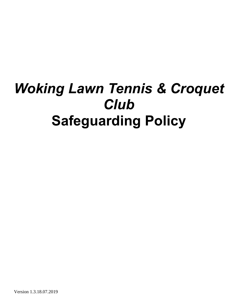# *Woking Lawn Tennis & Croquet Club* **Safeguarding Policy**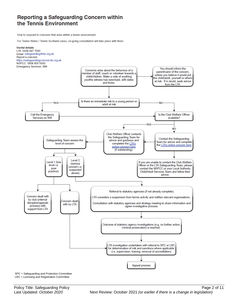### Reporting a Safeguarding Concern within the Tennis Environment

How to respond to concerns that arise within a tennis environment.

For Tennis Wales / Tennis Scotland cases, on-going consultation will take place with them.



SPC = Safeguarding and Protection Committee LRC = Licensing and Registration Committee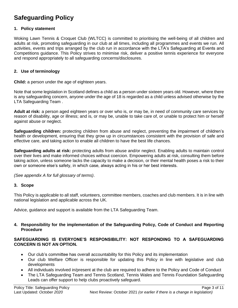## **Safeguarding Policy**

#### **1. Policy statement**

Woking Lawn Tennis & Croquet Club (WLTCC) is committed to prioritising the well-being of all children and adults at risk, promoting safeguarding in our club at all times, including all programmes and events we run. All activities, events and trips arranged by the club run in accordance with the LTA's Safeguarding at Events and Competitions guidance. This Policy strives to minimise risk, deliver a positive tennis experience for everyone and respond appropriately to all safeguarding concerns/disclosures.

#### **2. Use of terminology**

**Child:** a person under the age of eighteen years.

Note that some legislation in Scotland defines a child as a person under sixteen years old. However, where there is any safeguarding concern, anyone under the age of 18 is regarded as a child unless advised otherwise by the LTA Safeguarding Team .

**Adult at risk:** a person aged eighteen years or over who is, or may be, in need of community care services by reason of disability, age or illness; and is, or may be, unable to take care of, or unable to protect him or herself against abuse or neglect.

**Safeguarding children:** protecting children from abuse and neglect, preventing the impairment of children's health or development, ensuring that they grow up in circumstances consistent with the provision of safe and effective care, and taking action to enable all children to have the best life chances.

**Safeguarding adults at risk:** protecting adults from abuse and/or neglect. Enabling adults to maintain control over their lives and make informed choices without coercion. Empowering adults at risk, consulting them before taking action, unless someone lacks the capacity to make a decision, or their mental health poses a risk to their own or someone else's safety, in which case, always acting in his or her best interests.

*(See appendix A for full glossary of terms)*.

#### **3. Scope**

This Policy is applicable to all staff, volunteers, committee members, coaches and club members. It is in line with national legislation and applicable across the UK.

Advice, guidance and support is available from the LTA Safeguarding Team.

#### **4. Responsibility for the implementation of the Safeguarding Policy, Code of Conduct and Reporting Procedure**

#### **SAFEGUARDING IS EVERYONE'S RESPONSIBILITY: NOT RESPONDING TO A SAFEGUARDING CONCERN IS NOT AN OPTION.**

- Our club's committee has overall accountability for this Policy and its implementation
- Our club Welfare Officer is responsible for updating this Policy in line with legislative and club developments
- All individuals involved in/present at the club are required to adhere to the Policy and Code of Conduct
- The LTA Safeguarding Team and Tennis Scotland, Tennis Wales and Tennis Foundation Safeguarding Leads can offer support to help clubs proactively safeguard.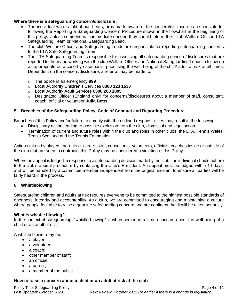#### **Where there is a safeguarding concern/disclosure:**

- The individual who is told about, hears, or is made aware of the concern/disclosure is responsible for following the Reporting a Safeguarding Concern Procedure shown in the flowchart at the beginning of this policy. Unless someone is in immediate danger, they should inform their club Welfare Officer, LTA Safeguarding Team or National Safeguarding Lead.
- The club Welfare Officer and Safeguarding Leads are responsible for reporting safeguarding concerns to the LTA Safe Safeguarding Team.
- The LTA Safeguarding Team is responsible for assessing all safeguarding concern/disclosures that are reported to them and working with the club Welfare Officer and National Safeguarding Leads to follow up as appropriate on a case-by-case basis, prioritising the well-being of the child/ adult at risk at all times. Dependent on the concern/disclosure, a referral may be made to:
	- o The police in an emergency **999**
	- o Local Authority Children's Services **0300 123 1630**
	- o Local Authority Adult Services **0300 200 1005**
	- o Designated Officer (England only) for concerns/disclosures about a member of staff, consultant, coach, official or volunteer **Julia Betts.**

#### **5. Breaches of the Safeguarding Policy, Code of Conduct and Reporting Procedure**

Breaches of this Policy and/or failure to comply with the outlined responsibilities may result in the following:

- Disciplinary action leading to possible exclusion from the club, dismissal and legal action
- Termination of current and future roles within the club and roles in other clubs, the LTA, Tennis Wales, Tennis Scotland and the Tennis Foundation*.*

Actions taken by players, parents or carers, staff, consultants, volunteers, officials, coaches inside or outside of the club that are seen to contradict this Policy may be considered a violation of this Policy.

Where an appeal is lodged in response to a safeguarding decision made by the club, the individual should adhere to the club's appeal procedure by contacting the Club's President. An appeal must be lodged within 14 days, and will be handled by a committee member independent from the original incident to ensure all parties will be fairly heard in the process.

#### **6. Whistleblowing**

Safeguarding children and adults at risk requires everyone to be committed to the highest possible standards of openness, integrity and accountability. As a club, we are committed to encouraging and maintaining a culture where people feel able to raise a genuine safeguarding concern and are confident that it will be taken seriously.

#### **What is whistle blowing?**

In the context of safeguarding, "whistle blowing" is when someone raises a concern about the well-being of a child or an adult at risk.

A whistle blower may be:

- a player;
- a volunteer;
- a coach;
- other member of staff;
- an official:
- a parent:
- a member of the public.

#### **How to raise a concern about a child or an adult at risk at the club**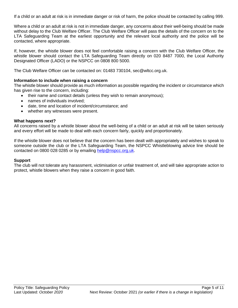If a child or an adult at risk is in immediate danger or risk of harm, the police should be contacted by calling 999.

Where a child or an adult at risk is not in immediate danger, any concerns about their well-being should be made without delay to the Club Welfare Officer. The Club Welfare Officer will pass the details of the concern on to the LTA Safeguarding Team at the earliest opportunity and the relevant local authority and the police will be contacted, where appropriate.

If, however, the whistle blower does not feel comfortable raising a concern with the Club Welfare Officer, the whistle blower should contact the LTA Safeguarding Team directly on 020 8487 7000, the Local Authority Designated Officer (LADO) or the NSPCC on 0808 800 5000.

The Club Welfare Officer can be contacted on: 01483 730104, sec@wltcc.org.uk.

#### **Information to include when raising a concern**

The whistle blower should provide as much information as possible regarding the incident or circumstance which has given rise to the concern, including:

- their name and contact details (unless they wish to remain anonymous);
- names of individuals involved;
- date, time and location of incident/circumstance; and
- whether any witnesses were present.

#### **What happens next?**

All concerns raised by a whistle blower about the well-being of a child or an adult at risk will be taken seriously and every effort will be made to deal with each concern fairly, quickly and proportionately.

If the whistle blower does not believe that the concern has been dealt with appropriately and wishes to speak to someone outside the club or the LTA Safeguarding Team, the NSPCC Whistleblowing advice line should be contacted on 0800 028 0285 or by emailing [help@nspcc.org.uk.](mailto:help@nspcc.org.uk)

#### **Support**

The club will not tolerate any harassment, victimisation or unfair treatment of, and will take appropriate action to protect, whistle blowers when they raise a concern in good faith.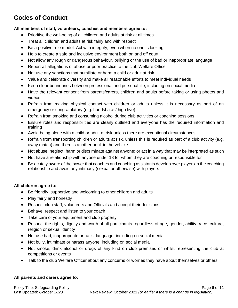# **Codes of Conduct**

#### **All members of staff, volunteers, coaches and members agree to:**

- Prioritise the well-being of all children and adults at risk at all times
- Treat all children and adults at risk fairly and with respect
- Be a positive role model. Act with integrity, even when no one is looking
- Help to create a safe and inclusive environment both on and off court
- Not allow any rough or dangerous behaviour, bullying or the use of bad or inappropriate language
- Report all allegations of abuse or poor practice to the club Welfare Officer
- Not use any sanctions that humiliate or harm a child or adult at risk
- Value and celebrate diversity and make all reasonable efforts to meet individual needs
- Keep clear boundaries between professional and personal life, including on social media
- Have the relevant consent from parents/carers, children and adults before taking or using photos and videos
- Refrain from making physical contact with children or adults unless it is necessary as part of an emergency or congratulatory (e.g. handshake / high five)
- Refrain from smoking and consuming alcohol during club activities or coaching sessions
- Ensure roles and responsibilities are clearly outlined and everyone has the required information and training
- Avoid being alone with a child or adult at risk unless there are exceptional circumstances
- Refrain from transporting children or adults at risk, unless this is required as part of a club activity (e.g. away match) and there is another adult in the vehicle
- Not abuse, neglect, harm or discriminate against anyone; or act in a way that may be interpreted as such
- Not have a relationship with anyone under 18 for whom they are coaching or responsible for
- Be acutely aware of the power that coaches and coaching assistants develop over players in the coaching relationship and avoid any intimacy (sexual or otherwise) with players

#### **All children agree to:**

- Be friendly, supportive and welcoming to other children and adults
- Play fairly and honestly
- Respect club staff, volunteers and Officials and accept their decisions
- Behave, respect and listen to your coach
- Take care of your equipment and club property
- Respect the rights, dignity and worth of all participants regardless of age, gender, ability, race, culture, religion or sexual identity
- Not use bad, inappropriate or racist language, including on social media
- Not bully, intimidate or harass anyone, including on social media
- Not smoke, drink alcohol or drugs of any kind on club premises or whilst representing the club at competitions or events
- Talk to the club Welfare Officer about any concerns or worries they have about themselves or others

#### **All parents and carers agree to:**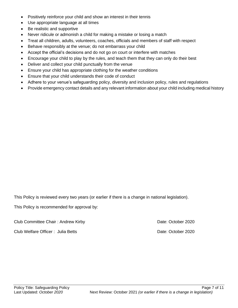- Positively reinforce your child and show an interest in their tennis
- Use appropriate language at all times
- Be realistic and supportive
- Never ridicule or admonish a child for making a mistake or losing a match
- Treat all children, adults, volunteers, coaches, officials and members of staff with respect
- Behave responsibly at the venue; do not embarrass your child
- Accept the official's decisions and do not go on court or interfere with matches
- Encourage your child to play by the rules, and teach them that they can only do their best
- Deliver and collect your child punctually from the venue
- Ensure your child has appropriate clothing for the weather conditions
- Ensure that your child understands their code of conduct
- Adhere to your venue's safeguarding policy, diversity and inclusion policy, rules and regulations
- Provide emergency contact details and any relevant information about your child including medical history

This Policy is reviewed every two years (or earlier if there is a change in national legislation).

This Policy is recommended for approval by:

Club Committee Chair : Andrew Kirby **Club Committee Chair : Andrew Kirby** Date: October 2020

Club Welfare Officer: Julia Betts **Date: October 2020**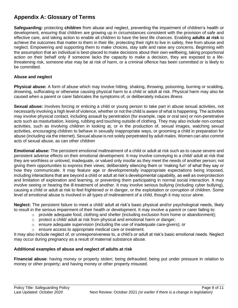## **Appendix A: Glossary of Terms**

**Safeguarding:** protecting **children** from abuse and neglect, preventing the impairment of children's health or development, ensuring that children are growing up in circumstances consistent with the provision of safe and effective care, and taking action to enable all children to have the best life chances. Enabling **adults at risk** to achieve the outcomes that matter to them in their life; protecting their right to live in safety, free from abuse and neglect. Empowering and supporting them to make choices, stay safe and raise any concerns. Beginning with the assumption that an individual is best-placed to make decisions about their own wellbeing, taking proportional action on their behalf only if someone lacks the capacity to make a decision, they are exposed to a lifethreatening risk, someone else may be at risk of harm, or a criminal offence has been committed or is likely to be committed.

#### **Abuse and neglect**

**Physical abuse:** A form of abuse which may involve hitting, shaking, throwing, poisoning, burning or scalding, drowning, suffocating or otherwise causing physical harm to a child or adult at risk. Physical harm may also be caused when a parent or carer fabricates the symptoms of, or deliberately induces illness

**Sexual abuse:** Involves forcing or enticing a child or young person to take part in abuse sexual activities, not necessarily involving a high level of violence, whether or not the child is aware of what is happening. The activities may involve physical contact, including assault by penetration (for example, rape or oral sex) or non-penetrative acts such as masturbation, kissing, rubbing and touching outside of clothing. They may also include non-contact activities, such as involving children in looking at, or in the production of, sexual images, watching sexual activities, encouraging children to behave in sexually inappropriate ways, or grooming a child in preparation for abuse (including via the internet). Sexual abuse is not solely perpetrated by adult males. Women can also commit acts of sexual abuse, as can other children

**Emotional abuse:** The persistent emotional maltreatment of a child or adult at risk such as to cause severe and persistent adverse effects on their emotional development. It may involve conveying to a child/ adult at risk that they are worthless or unloved, inadequate, or valued only insofar as they meet the needs of another person; not giving them opportunities to express their views; deliberately silencing them or 'making fun' of what they say or how they communicate. It may feature age or developmentally inappropriate expectations being imposed, including interactions that are beyond a child or adult at risk's developmental capability, as well as overprotection and limitation of exploration and learning, or preventing them participating in normal social interaction. It may involve seeing or hearing the ill-treatment of another. It may involve serious bullying (including cyber bullying), causing a child or adult at risk to feel frightened or in danger, or the exploitation or corruption of children. Some level of emotional abuse is involved in all types of maltreatment of a child, though it may occur alone.

**Neglect:** The persistent failure to meet a child/ adult at risk's basic physical and/or psychological needs, likely to result in the serious impairment of their health or development. It may involve a parent or carer failing to:

- $\circ$  provide adequate food, clothing and shelter (including exclusion from home or abandonment);
- $\circ$  protect a child/ adult at risk from physical and emotional harm or danger;
- $\circ$  ensure adequate supervision (including the use of inadequate care-givers); or
- o ensure access to appropriate medical care or treatment.

It may also include neglect of, or unresponsiveness to, a child's or adult at risk's basic emotional needs. Neglect may occur during pregnancy as a result of maternal substance abuse.

#### **Additional examples of abuse and neglect of adults at risk**

**Financial abuse**: having money or property stolen; being defrauded; being put under pressure in relation to money or other property; and having money or other property misused.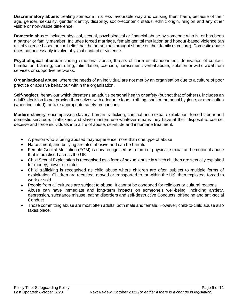**Discriminatory abuse**: treating someone in a less favourable way and causing them harm, because of their age, gender, sexuality, gender identity, disability, socio-economic status, ethnic origin, religion and any other visible or non-visible difference.

**Domestic abuse**: includes physical, sexual, psychological or financial abuse by someone who is, or has been a partner or family member. Includes forced marriage, female genital mutilation and honour-based violence (an act of violence based on the belief that the person has brought shame on their family or culture). Domestic abuse does not necessarily involve physical contact or violence.

**Psychological abuse:** including emotional abuse, threats of harm or abandonment, deprivation of contact, humiliation, blaming, controlling, intimidation, coercion, harassment, verbal abuse, isolation or withdrawal from services or supportive networks.

**Organisational abuse**: where the needs of an individual are not met by an organisation due to a culture of poor practice or abusive behaviour within the organisation.

**Self-neglect:** behaviour which threatens an adult's personal health or safety (but not that of others). Includes an adult's decision to not provide themselves with adequate food, clothing, shelter, personal hygiene, or medication (when indicated), or take appropriate safety precautions

**Modern slavery**: encompasses slavery, human trafficking, criminal and sexual exploitation, forced labour and domestic servitude. Traffickers and slave masters use whatever means they have at their disposal to coerce, deceive and force individuals into a life of abuse, servitude and inhumane treatment.

- A person who is being abused may experience more than one type of abuse
- Harassment, and bullying are also abusive and can be harmful
- Female Genital Mutilation (FGM) is now recognised as a form of physical, sexual and emotional abuse that is practised across the UK
- Child Sexual Exploitation is recognised as a form of sexual abuse in which children are sexually exploited for money, power or status
- Child trafficking is recognised as child abuse where children are often subject to multiple forms of exploitation. Children are recruited, moved or transported to, or within the UK, then exploited, forced to work or sold
- People from all cultures are subject to abuse. It cannot be condoned for religious or cultural reasons
- Abuse can have immediate and long-term impacts on someone's well-being, including anxiety, depression, substance misuse, eating disorders and self-destructive Conducts, offending and anti-social **Conduct**
- Those committing abuse are most often adults, both male and female. However, child-to-child abuse also takes place.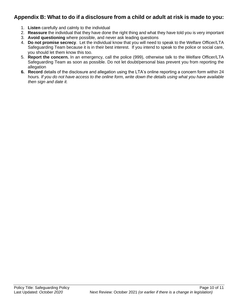## **Appendix B: What to do if a disclosure from a child or adult at risk is made to you:**

- 1. **Listen** carefully and calmly to the individual
- 2. **Reassure** the individual that they have done the right thing and what they have told you is very important
- 3. **Avoid questioning** where possible, and never ask leading questions
- 4. **Do not promise secrecy**. Let the individual know that you will need to speak to the Welfare Officer/LTA Safeguarding Team because it is in their best interest. If you intend to speak to the police or social care, you should let them know this too.
- 5. **Report the concern.** In an emergency, call the police (999), otherwise talk to the Welfare Officer/LTA Safeguarding Team as soon as possible. Do not let doubt/personal bias prevent you from reporting the allegation
- **6. Record** details of the disclosure and allegation using the LTA's online reporting a concern form within 24 hours*. If you do not have access to the online form, write down the details using what you have available then sign and date it.*